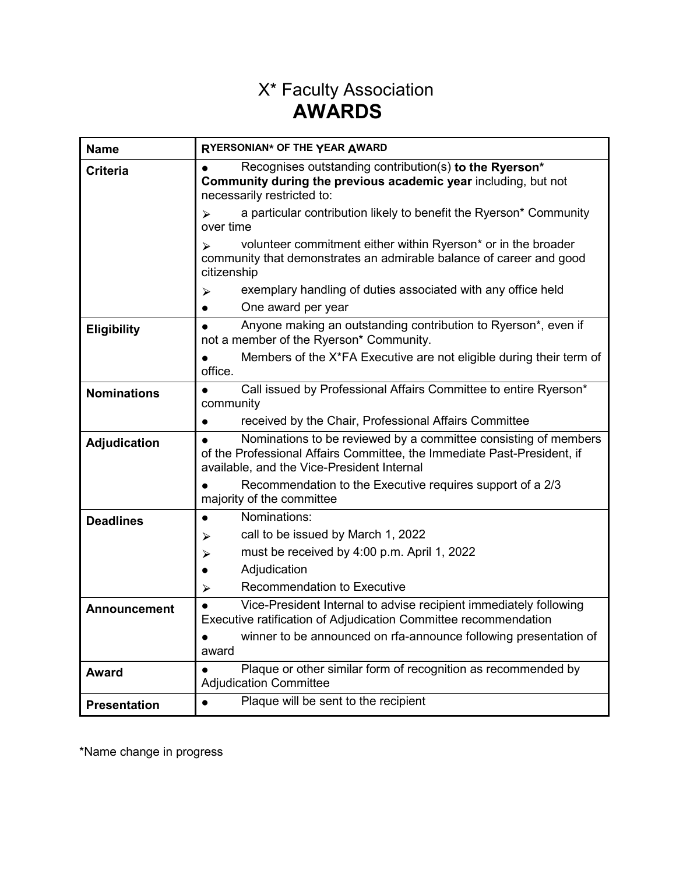## X\* Faculty Association **AWARDS**

| <b>Name</b>         | RYERSONIAN* OF THE YEAR AWARD                                                                                                                                                            |  |  |
|---------------------|------------------------------------------------------------------------------------------------------------------------------------------------------------------------------------------|--|--|
| <b>Criteria</b>     | Recognises outstanding contribution(s) to the Ryerson*<br>Community during the previous academic year including, but not<br>necessarily restricted to:                                   |  |  |
|                     | a particular contribution likely to benefit the Ryerson* Community<br>over time                                                                                                          |  |  |
|                     | volunteer commitment either within Ryerson* or in the broader<br>$\blacktriangleright$<br>community that demonstrates an admirable balance of career and good<br>citizenship             |  |  |
|                     | exemplary handling of duties associated with any office held<br>⋗                                                                                                                        |  |  |
|                     | One award per year                                                                                                                                                                       |  |  |
| <b>Eligibility</b>  | Anyone making an outstanding contribution to Ryerson*, even if<br>not a member of the Ryerson* Community.                                                                                |  |  |
|                     | Members of the X*FA Executive are not eligible during their term of<br>office.                                                                                                           |  |  |
| <b>Nominations</b>  | Call issued by Professional Affairs Committee to entire Ryerson*<br>community                                                                                                            |  |  |
|                     | received by the Chair, Professional Affairs Committee                                                                                                                                    |  |  |
| Adjudication        | Nominations to be reviewed by a committee consisting of members<br>of the Professional Affairs Committee, the Immediate Past-President, if<br>available, and the Vice-President Internal |  |  |
|                     | Recommendation to the Executive requires support of a 2/3<br>majority of the committee                                                                                                   |  |  |
| <b>Deadlines</b>    | Nominations:                                                                                                                                                                             |  |  |
|                     | call to be issued by March 1, 2022<br>⋗                                                                                                                                                  |  |  |
|                     | must be received by 4:00 p.m. April 1, 2022<br>➤                                                                                                                                         |  |  |
|                     | Adjudication                                                                                                                                                                             |  |  |
|                     | Recommendation to Executive<br>➤                                                                                                                                                         |  |  |
| <b>Announcement</b> | Vice-President Internal to advise recipient immediately following<br>Executive ratification of Adjudication Committee recommendation                                                     |  |  |
|                     | winner to be announced on rfa-announce following presentation of<br>award                                                                                                                |  |  |
| Award               | Plaque or other similar form of recognition as recommended by<br><b>Adjudication Committee</b>                                                                                           |  |  |
| <b>Presentation</b> | Plaque will be sent to the recipient                                                                                                                                                     |  |  |

\*Name change in progress